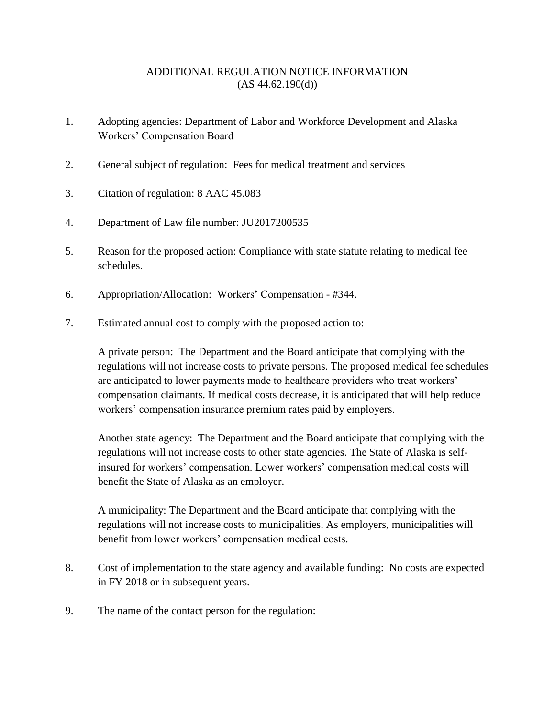## ADDITIONAL REGULATION NOTICE INFORMATION  $(AS 44.62.190(d))$

- 1. Adopting agencies: Department of Labor and Workforce Development and Alaska Workers' Compensation Board
- 2. General subject of regulation: Fees for medical treatment and services
- 3. Citation of regulation: 8 AAC 45.083
- 4. Department of Law file number: JU2017200535
- 5. Reason for the proposed action: Compliance with state statute relating to medical fee schedules.
- 6. Appropriation/Allocation: Workers' Compensation #344.
- 7. Estimated annual cost to comply with the proposed action to:

A private person: The Department and the Board anticipate that complying with the regulations will not increase costs to private persons. The proposed medical fee schedules are anticipated to lower payments made to healthcare providers who treat workers' compensation claimants. If medical costs decrease, it is anticipated that will help reduce workers' compensation insurance premium rates paid by employers.

Another state agency: The Department and the Board anticipate that complying with the regulations will not increase costs to other state agencies. The State of Alaska is selfinsured for workers' compensation. Lower workers' compensation medical costs will benefit the State of Alaska as an employer.

A municipality: The Department and the Board anticipate that complying with the regulations will not increase costs to municipalities. As employers, municipalities will benefit from lower workers' compensation medical costs.

- 8. Cost of implementation to the state agency and available funding: No costs are expected in FY 2018 or in subsequent years.
- 9. The name of the contact person for the regulation: